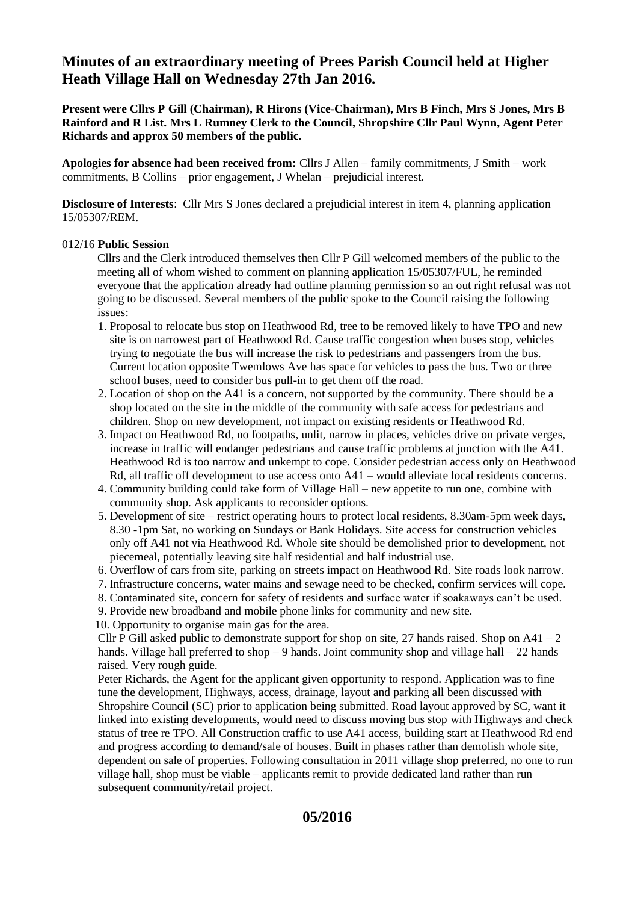# **Minutes of an extraordinary meeting of Prees Parish Council held at Higher Heath Village Hall on Wednesday 27th Jan 2016.**

**Present were Cllrs P Gill (Chairman), R Hirons (Vice-Chairman), Mrs B Finch, Mrs S Jones, Mrs B Rainford and R List. Mrs L Rumney Clerk to the Council, Shropshire Cllr Paul Wynn, Agent Peter Richards and approx 50 members of the public.** 

**Apologies for absence had been received from:** Cllrs J Allen – family commitments, J Smith – work commitments, B Collins – prior engagement, J Whelan – prejudicial interest.

**Disclosure of Interests**: Cllr Mrs S Jones declared a prejudicial interest in item 4, planning application 15/05307/REM.

#### 012/16 **Public Session**

Cllrs and the Clerk introduced themselves then Cllr P Gill welcomed members of the public to the meeting all of whom wished to comment on planning application 15/05307/FUL, he reminded everyone that the application already had outline planning permission so an out right refusal was not going to be discussed. Several members of the public spoke to the Council raising the following issues:

- 1. Proposal to relocate bus stop on Heathwood Rd, tree to be removed likely to have TPO and new site is on narrowest part of Heathwood Rd. Cause traffic congestion when buses stop, vehicles trying to negotiate the bus will increase the risk to pedestrians and passengers from the bus. Current location opposite Twemlows Ave has space for vehicles to pass the bus. Two or three school buses, need to consider bus pull-in to get them off the road.
- 2. Location of shop on the A41 is a concern, not supported by the community. There should be a shop located on the site in the middle of the community with safe access for pedestrians and children. Shop on new development, not impact on existing residents or Heathwood Rd.
- 3. Impact on Heathwood Rd, no footpaths, unlit, narrow in places, vehicles drive on private verges, increase in traffic will endanger pedestrians and cause traffic problems at junction with the A41. Heathwood Rd is too narrow and unkempt to cope. Consider pedestrian access only on Heathwood Rd, all traffic off development to use access onto A41 – would alleviate local residents concerns.
- 4. Community building could take form of Village Hall new appetite to run one, combine with community shop. Ask applicants to reconsider options.
- 5. Development of site restrict operating hours to protect local residents, 8.30am-5pm week days, 8.30 -1pm Sat, no working on Sundays or Bank Holidays. Site access for construction vehicles only off A41 not via Heathwood Rd. Whole site should be demolished prior to development, not piecemeal, potentially leaving site half residential and half industrial use.
- 6. Overflow of cars from site, parking on streets impact on Heathwood Rd. Site roads look narrow.
- 7. Infrastructure concerns, water mains and sewage need to be checked, confirm services will cope.
- 8. Contaminated site, concern for safety of residents and surface water if soakaways can't be used.
- 9. Provide new broadband and mobile phone links for community and new site.

10. Opportunity to organise main gas for the area.

Cllr P Gill asked public to demonstrate support for shop on site, 27 hands raised. Shop on  $A41 - 2$ hands. Village hall preferred to shop  $-9$  hands. Joint community shop and village hall  $-22$  hands raised. Very rough guide.

 Peter Richards, the Agent for the applicant given opportunity to respond. Application was to fine tune the development, Highways, access, drainage, layout and parking all been discussed with Shropshire Council (SC) prior to application being submitted. Road layout approved by SC, want it linked into existing developments, would need to discuss moving bus stop with Highways and check status of tree re TPO. All Construction traffic to use A41 access, building start at Heathwood Rd end and progress according to demand/sale of houses. Built in phases rather than demolish whole site, dependent on sale of properties. Following consultation in 2011 village shop preferred, no one to run village hall, shop must be viable – applicants remit to provide dedicated land rather than run subsequent community/retail project.

## **05/2016**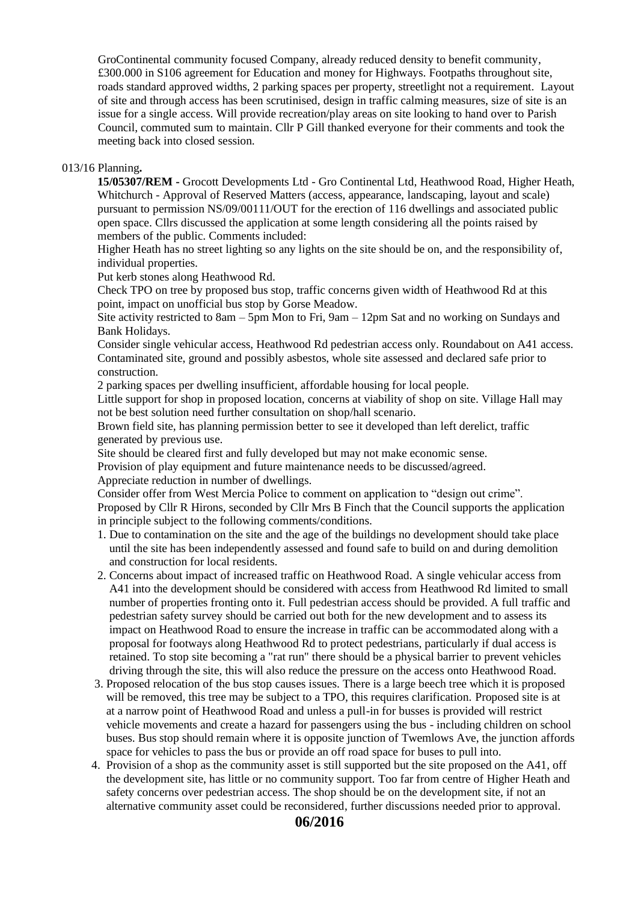GroContinental community focused Company, already reduced density to benefit community, £300.000 in S106 agreement for Education and money for Highways. Footpaths throughout site, roads standard approved widths, 2 parking spaces per property, streetlight not a requirement. Layout of site and through access has been scrutinised, design in traffic calming measures, size of site is an issue for a single access. Will provide recreation/play areas on site looking to hand over to Parish Council, commuted sum to maintain. Cllr P Gill thanked everyone for their comments and took the meeting back into closed session.

#### 013/16 Planning**.**

 **15/05307/REM -** Grocott Developments Ltd - Gro Continental Ltd, Heathwood Road, Higher Heath, Whitchurch - Approval of Reserved Matters (access, appearance, landscaping, layout and scale) pursuant to permission NS/09/00111/OUT for the erection of 116 dwellings and associated public open space. Cllrs discussed the application at some length considering all the points raised by members of the public. Comments included:

 Higher Heath has no street lighting so any lights on the site should be on, and the responsibility of, individual properties.

Put kerb stones along Heathwood Rd.

 Check TPO on tree by proposed bus stop, traffic concerns given width of Heathwood Rd at this point, impact on unofficial bus stop by Gorse Meadow.

 Site activity restricted to 8am – 5pm Mon to Fri, 9am – 12pm Sat and no working on Sundays and Bank Holidays.

 Consider single vehicular access, Heathwood Rd pedestrian access only. Roundabout on A41 access. Contaminated site, ground and possibly asbestos, whole site assessed and declared safe prior to construction.

2 parking spaces per dwelling insufficient, affordable housing for local people.

 Little support for shop in proposed location, concerns at viability of shop on site. Village Hall may not be best solution need further consultation on shop/hall scenario.

 Brown field site, has planning permission better to see it developed than left derelict, traffic generated by previous use.

Site should be cleared first and fully developed but may not make economic sense.

Provision of play equipment and future maintenance needs to be discussed/agreed.

Appreciate reduction in number of dwellings.

Consider offer from West Mercia Police to comment on application to "design out crime".

 Proposed by Cllr R Hirons, seconded by Cllr Mrs B Finch that the Council supports the application in principle subject to the following comments/conditions.

- 1. Due to contamination on the site and the age of the buildings no development should take place until the site has been independently assessed and found safe to build on and during demolition and construction for local residents.
- 2. Concerns about impact of increased traffic on Heathwood Road. A single vehicular access from A41 into the development should be considered with access from Heathwood Rd limited to small number of properties fronting onto it. Full pedestrian access should be provided. A full traffic and pedestrian safety survey should be carried out both for the new development and to assess its impact on Heathwood Road to ensure the increase in traffic can be accommodated along with a proposal for footways along Heathwood Rd to protect pedestrians, particularly if dual access is retained. To stop site becoming a "rat run" there should be a physical barrier to prevent vehicles driving through the site, this will also reduce the pressure on the access onto Heathwood Road.
- 3. Proposed relocation of the bus stop causes issues. There is a large beech tree which it is proposed will be removed, this tree may be subject to a TPO, this requires clarification. Proposed site is at at a narrow point of Heathwood Road and unless a pull-in for busses is provided will restrict vehicle movements and create a hazard for passengers using the bus - including children on school buses. Bus stop should remain where it is opposite junction of Twemlows Ave, the junction affords space for vehicles to pass the bus or provide an off road space for buses to pull into.
- 4. Provision of a shop as the community asset is still supported but the site proposed on the A41, off the development site, has little or no community support. Too far from centre of Higher Heath and safety concerns over pedestrian access. The shop should be on the development site, if not an alternative community asset could be reconsidered, further discussions needed prior to approval.